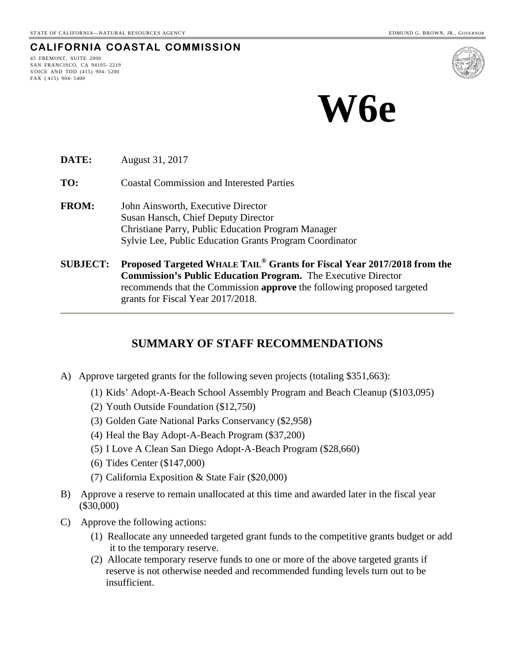#### **CALIFORNIA COASTAL COMMISSION**

45 FREMONT, SUITE 2000 SAN FRANCISCO, CA 94105- 2219 VOICE AND TDD (415) 904- 5200 FAX ( 415) 904- 5400



**DATE:** August 31, 2017

**TO:** Coastal Commission and Interested Parties

- **FROM:** John Ainsworth, Executive Director Susan Hansch, Chief Deputy Director Christiane Parry, Public Education Program Manager Sylvie Lee, Public Education Grants Program Coordinator
- **SUBJECT: Proposed Targeted WHALE TAIL® Grants for Fiscal Year 2017/2018 from the Commission's Public Education Program.** The Executive Director recommends that the Commission **approve** the following proposed targeted grants for Fiscal Year 2017/2018.

## **SUMMARY OF STAFF RECOMMENDATIONS**

- A) Approve targeted grants for the following seven projects (totaling \$351,663):
	- (1) Kids' Adopt-A-Beach School Assembly Program and Beach Cleanup (\$103,095)
	- (2) Youth Outside Foundation (\$12,750)
	- (3) Golden Gate National Parks Conservancy (\$2,958)
	- (4) Heal the Bay Adopt-A-Beach Program (\$37,200)
	- (5) I Love A Clean San Diego Adopt-A-Beach Program (\$28,660)
	- (6) Tides Center (\$147,000)
	- (7) California Exposition & State Fair (\$20,000)
- B) Approve a reserve to remain unallocated at this time and awarded later in the fiscal year (\$30,000)
- C) Approve the following actions:
	- (1) Reallocate any unneeded targeted grant funds to the competitive grants budget or add it to the temporary reserve.
	- (2) Allocate temporary reserve funds to one or more of the above targeted grants if reserve is not otherwise needed and recommended funding levels turn out to be insufficient.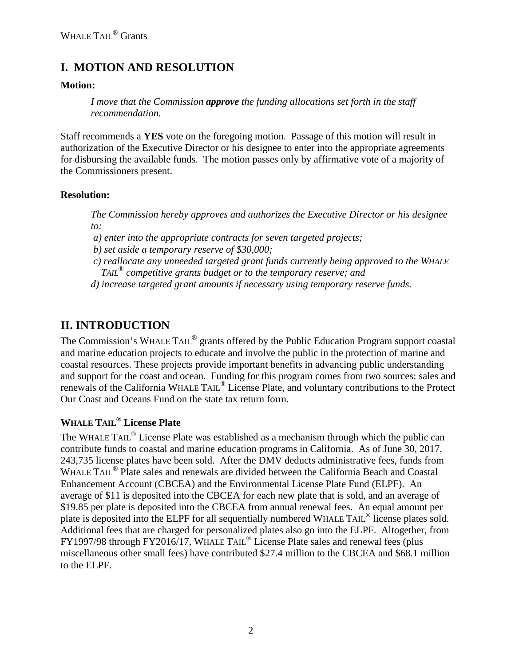# **I. MOTION AND RESOLUTION**

#### **Motion:**

*I move that the Commission approve the funding allocations set forth in the staff recommendation.* 

Staff recommends a **YES** vote on the foregoing motion. Passage of this motion will result in authorization of the Executive Director or his designee to enter into the appropriate agreements for disbursing the available funds. The motion passes only by affirmative vote of a majority of the Commissioners present.

#### **Resolution:**

*The Commission hereby approves and authorizes the Executive Director or his designee to:* 

 *a) enter into the appropriate contracts for seven targeted projects;* 

*b) set aside a temporary reserve of \$30,000;* 

*c) reallocate any unneeded targeted grant funds currently being approved to the WHALE TAIL® competitive grants budget or to the temporary reserve; and* 

*d) increase targeted grant amounts if necessary using temporary reserve funds.* 

# **II. INTRODUCTION**

The Commission's WHALE TAIL<sup>®</sup> grants offered by the Public Education Program support coastal and marine education projects to educate and involve the public in the protection of marine and coastal resources. These projects provide important benefits in advancing public understanding and support for the coast and ocean. Funding for this program comes from two sources: sales and renewals of the California WHALE TAIL® License Plate, and voluntary contributions to the Protect Our Coast and Oceans Fund on the state tax return form.

## **WHALE TAIL® License Plate**

The WHALE TAIL<sup>®</sup> License Plate was established as a mechanism through which the public can contribute funds to coastal and marine education programs in California. As of June 30, 2017, 243,735 license plates have been sold. After the DMV deducts administrative fees, funds from WHALE TAIL<sup>®</sup> Plate sales and renewals are divided between the California Beach and Coastal Enhancement Account (CBCEA) and the Environmental License Plate Fund (ELPF). An average of \$11 is deposited into the CBCEA for each new plate that is sold, and an average of \$19.85 per plate is deposited into the CBCEA from annual renewal fees. An equal amount per plate is deposited into the ELPF for all sequentially numbered WHALE TAIL<sup>®</sup> license plates sold. Additional fees that are charged for personalized plates also go into the ELPF. Altogether, from FY1997/98 through FY2016/17, WHALE TAIL® License Plate sales and renewal fees (plus miscellaneous other small fees) have contributed \$27.4 million to the CBCEA and \$68.1 million to the ELPF.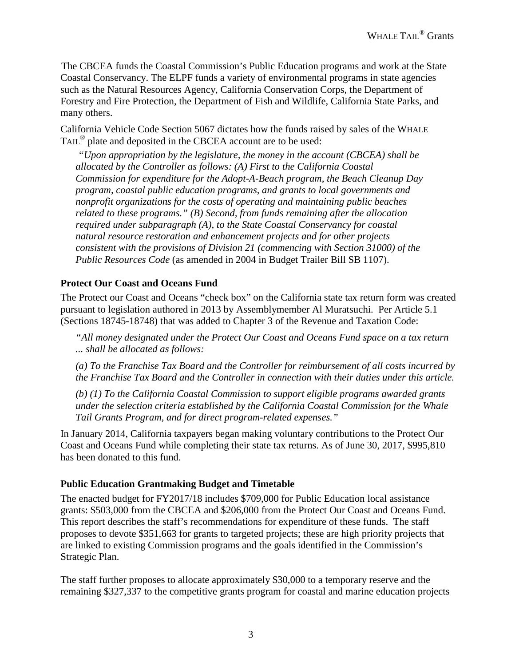The CBCEA funds the Coastal Commission's Public Education programs and work at the State Coastal Conservancy. The ELPF funds a variety of environmental programs in state agencies such as the Natural Resources Agency, California Conservation Corps, the Department of Forestry and Fire Protection, the Department of Fish and Wildlife, California State Parks, and many others.

California Vehicle Code Section 5067 dictates how the funds raised by sales of the WHALE TAIL® plate and deposited in the CBCEA account are to be used:

 *"Upon appropriation by the legislature, the money in the account (CBCEA) shall be allocated by the Controller as follows: (A) First to the California Coastal Commission for expenditure for the Adopt-A-Beach program, the Beach Cleanup Day program, coastal public education programs, and grants to local governments and nonprofit organizations for the costs of operating and maintaining public beaches related to these programs." (B) Second, from funds remaining after the allocation required under subparagraph (A), to the State Coastal Conservancy for coastal natural resource restoration and enhancement projects and for other projects consistent with the provisions of Division 21 (commencing with Section 31000) of the Public Resources Code* (as amended in 2004 in Budget Trailer Bill SB 1107).

#### **Protect Our Coast and Oceans Fund**

The Protect our Coast and Oceans "check box" on the California state tax return form was created pursuant to legislation authored in 2013 by Assemblymember Al Muratsuchi. Per Article 5.1 (Sections 18745-18748) that was added to Chapter 3 of the Revenue and Taxation Code:

*"All money designated under the Protect Our Coast and Oceans Fund space on a tax return ... shall be allocated as follows:* 

*(a) To the Franchise Tax Board and the Controller for reimbursement of all costs incurred by the Franchise Tax Board and the Controller in connection with their duties under this article.* 

*(b) (1) To the California Coastal Commission to support eligible programs awarded grants under the selection criteria established by the California Coastal Commission for the Whale Tail Grants Program, and for direct program-related expenses."* 

In January 2014, California taxpayers began making voluntary contributions to the Protect Our Coast and Oceans Fund while completing their state tax returns. As of June 30, 2017, \$995,810 has been donated to this fund.

#### **Public Education Grantmaking Budget and Timetable**

The enacted budget for FY2017/18 includes \$709,000 for Public Education local assistance grants: \$503,000 from the CBCEA and \$206,000 from the Protect Our Coast and Oceans Fund. This report describes the staff's recommendations for expenditure of these funds. The staff proposes to devote \$351,663 for grants to targeted projects; these are high priority projects that are linked to existing Commission programs and the goals identified in the Commission's Strategic Plan.

The staff further proposes to allocate approximately \$30,000 to a temporary reserve and the remaining \$327,337 to the competitive grants program for coastal and marine education projects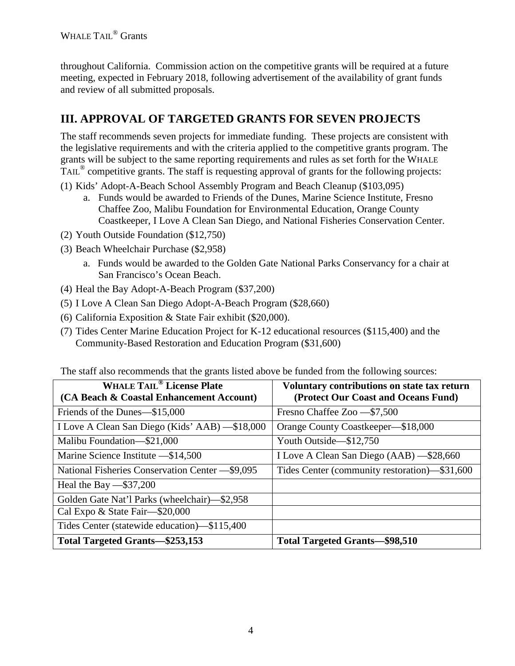throughout California. Commission action on the competitive grants will be required at a future meeting, expected in February 2018, following advertisement of the availability of grant funds and review of all submitted proposals.

# **III. APPROVAL OF TARGETED GRANTS FOR SEVEN PROJECTS**

The staff recommends seven projects for immediate funding. These projects are consistent with the legislative requirements and with the criteria applied to the competitive grants program. The grants will be subject to the same reporting requirements and rules as set forth for the WHALE TAIL® competitive grants. The staff is requesting approval of grants for the following projects:

- (1) Kids' Adopt-A-Beach School Assembly Program and Beach Cleanup (\$103,095)
	- a. Funds would be awarded to Friends of the Dunes, Marine Science Institute, Fresno Chaffee Zoo, Malibu Foundation for Environmental Education, Orange County Coastkeeper, I Love A Clean San Diego, and National Fisheries Conservation Center.
- (2) Youth Outside Foundation (\$12,750)
- (3) Beach Wheelchair Purchase (\$2,958)
	- a. Funds would be awarded to the Golden Gate National Parks Conservancy for a chair at San Francisco's Ocean Beach.
- (4) Heal the Bay Adopt-A-Beach Program (\$37,200)
- (5) I Love A Clean San Diego Adopt-A-Beach Program (\$28,660)
- (6) California Exposition & State Fair exhibit (\$20,000).
- (7) Tides Center Marine Education Project for K-12 educational resources (\$115,400) and the Community-Based Restoration and Education Program (\$31,600)

The staff also recommends that the grants listed above be funded from the following sources:

| <b>WHALE TAIL<sup>®</sup> License Plate</b><br>(CA Beach & Coastal Enhancement Account) | Voluntary contributions on state tax return<br>(Protect Our Coast and Oceans Fund) |
|-----------------------------------------------------------------------------------------|------------------------------------------------------------------------------------|
| Friends of the Dunes—\$15,000                                                           | Fresno Chaffee Zoo - \$7,500                                                       |
| I Love A Clean San Diego (Kids' AAB) -\$18,000                                          | Orange County Coastkeeper—\$18,000                                                 |
| Malibu Foundation-\$21,000                                                              | Youth Outside-\$12,750                                                             |
| Marine Science Institute - \$14,500                                                     | I Love A Clean San Diego (AAB) - \$28,660                                          |
| National Fisheries Conservation Center - \$9,095                                        | Tides Center (community restoration)—\$31,600                                      |
| Heal the Bay $-$ \$37,200                                                               |                                                                                    |
| Golden Gate Nat'l Parks (wheelchair)-\$2,958                                            |                                                                                    |
| Cal Expo & State Fair-\$20,000                                                          |                                                                                    |
| Tides Center (statewide education)-\$115,400                                            |                                                                                    |
| Total Targeted Grants-\$253,153                                                         | <b>Total Targeted Grants-\$98,510</b>                                              |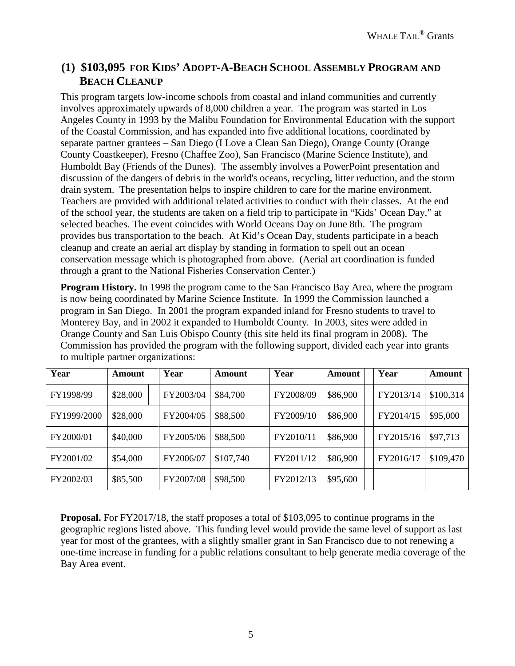## **(1) \$103,095 FOR KIDS' ADOPT-A-BEACH SCHOOL ASSEMBLY PROGRAM AND BEACH CLEANUP**

This program targets low-income schools from coastal and inland communities and currently involves approximately upwards of 8,000 children a year. The program was started in Los Angeles County in 1993 by the Malibu Foundation for Environmental Education with the support of the Coastal Commission, and has expanded into five additional locations, coordinated by separate partner grantees – San Diego (I Love a Clean San Diego), Orange County (Orange County Coastkeeper), Fresno (Chaffee Zoo), San Francisco (Marine Science Institute), and Humboldt Bay (Friends of the Dunes). The assembly involves a PowerPoint presentation and discussion of the dangers of debris in the world's oceans, recycling, litter reduction, and the storm drain system. The presentation helps to inspire children to care for the marine environment. Teachers are provided with additional related activities to conduct with their classes. At the end of the school year, the students are taken on a field trip to participate in "Kids' Ocean Day," at selected beaches. The event coincides with World Oceans Day on June 8th. The program provides bus transportation to the beach. At Kid's Ocean Day, students participate in a beach cleanup and create an aerial art display by standing in formation to spell out an ocean conservation message which is photographed from above. (Aerial art coordination is funded through a grant to the National Fisheries Conservation Center.)

**Program History.** In 1998 the program came to the San Francisco Bay Area, where the program is now being coordinated by Marine Science Institute. In 1999 the Commission launched a program in San Diego. In 2001 the program expanded inland for Fresno students to travel to Monterey Bay, and in 2002 it expanded to Humboldt County. In 2003, sites were added in Orange County and San Luis Obispo County (this site held its final program in 2008). The Commission has provided the program with the following support, divided each year into grants to multiple partner organizations:

| Year        | <b>Amount</b> | Year      | Amount    | Year      | Amount   | Year      | Amount    |
|-------------|---------------|-----------|-----------|-----------|----------|-----------|-----------|
| FY1998/99   | \$28,000      | FY2003/04 | \$84,700  | FY2008/09 | \$86,900 | FY2013/14 | \$100,314 |
| FY1999/2000 | \$28,000      | FY2004/05 | \$88,500  | FY2009/10 | \$86,900 | FY2014/15 | \$95,000  |
| FY2000/01   | \$40,000      | FY2005/06 | \$88,500  | FY2010/11 | \$86,900 | FY2015/16 | \$97,713  |
| FY2001/02   | \$54,000      | FY2006/07 | \$107,740 | FY2011/12 | \$86,900 | FY2016/17 | \$109,470 |
| FY2002/03   | \$85,500      | FY2007/08 | \$98,500  | FY2012/13 | \$95,600 |           |           |

**Proposal.** For FY2017/18, the staff proposes a total of \$103,095 to continue programs in the geographic regions listed above. This funding level would provide the same level of support as last year for most of the grantees, with a slightly smaller grant in San Francisco due to not renewing a one-time increase in funding for a public relations consultant to help generate media coverage of the Bay Area event.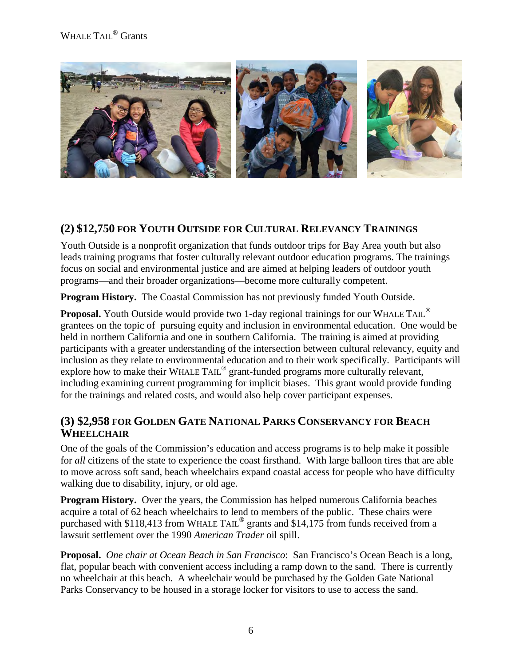## WHALE TAIL<sup>®</sup> Grants



## **(2) \$12,750 FOR YOUTH OUTSIDE FOR CULTURAL RELEVANCY TRAININGS**

Youth Outside is a nonprofit organization that funds outdoor trips for Bay Area youth but also leads training programs that foster culturally relevant outdoor education programs. The trainings focus on social and environmental justice and are aimed at helping leaders of outdoor youth programs—and their broader organizations—become more culturally competent.

**Program History.** The Coastal Commission has not previously funded Youth Outside.

**Proposal.** Youth Outside would provide two 1-day regional trainings for our WHALE TAIL<sup>®</sup> grantees on the topic of pursuing equity and inclusion in environmental education. One would be held in northern California and one in southern California. The training is aimed at providing participants with a greater understanding of the intersection between cultural relevancy, equity and inclusion as they relate to environmental education and to their work specifically. Participants will explore how to make their WHALE TAIL<sup>®</sup> grant-funded programs more culturally relevant, including examining current programming for implicit biases. This grant would provide funding for the trainings and related costs, and would also help cover participant expenses.

## **(3) \$2,958 FOR GOLDEN GATE NATIONAL PARKS CONSERVANCY FOR BEACH WHEELCHAIR**

One of the goals of the Commission's education and access programs is to help make it possible for *all* citizens of the state to experience the coast firsthand. With large balloon tires that are able to move across soft sand, beach wheelchairs expand coastal access for people who have difficulty walking due to disability, injury, or old age.

**Program History.** Over the years, the Commission has helped numerous California beaches acquire a total of 62 beach wheelchairs to lend to members of the public. These chairs were purchased with \$118,413 from WHALE TAIL® grants and \$14,175 from funds received from a lawsuit settlement over the 1990 *American Trader* oil spill.

**Proposal.** *One chair at Ocean Beach in San Francisco*: San Francisco's Ocean Beach is a long, flat, popular beach with convenient access including a ramp down to the sand. There is currently no wheelchair at this beach. A wheelchair would be purchased by the Golden Gate National Parks Conservancy to be housed in a storage locker for visitors to use to access the sand.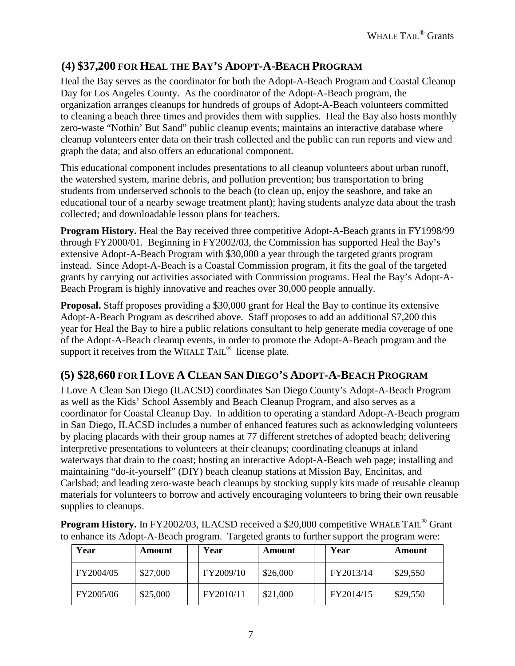# **(4) \$37,200 FOR HEAL THE BAY'S ADOPT-A-BEACH PROGRAM**

Heal the Bay serves as the coordinator for both the Adopt-A-Beach Program and Coastal Cleanup Day for Los Angeles County. As the coordinator of the Adopt-A-Beach program, the organization arranges cleanups for hundreds of groups of Adopt-A-Beach volunteers committed to cleaning a beach three times and provides them with supplies. Heal the Bay also hosts monthly zero-waste "Nothin' But Sand" public cleanup events; maintains an interactive database where cleanup volunteers enter data on their trash collected and the public can run reports and view and graph the data; and also offers an educational component.

This educational component includes presentations to all cleanup volunteers about urban runoff, the watershed system, marine debris, and pollution prevention; bus transportation to bring students from underserved schools to the beach (to clean up, enjoy the seashore, and take an educational tour of a nearby sewage treatment plant); having students analyze data about the trash collected; and downloadable lesson plans for teachers.

**Program History.** Heal the Bay received three competitive Adopt-A-Beach grants in FY1998/99 through FY2000/01. Beginning in FY2002/03, the Commission has supported Heal the Bay's extensive Adopt-A-Beach Program with \$30,000 a year through the targeted grants program instead. Since Adopt-A-Beach is a Coastal Commission program, it fits the goal of the targeted grants by carrying out activities associated with Commission programs. Heal the Bay's Adopt-A-Beach Program is highly innovative and reaches over 30,000 people annually.

**Proposal.** Staff proposes providing a \$30,000 grant for Heal the Bay to continue its extensive Adopt-A-Beach Program as described above. Staff proposes to add an additional \$7,200 this year for Heal the Bay to hire a public relations consultant to help generate media coverage of one of the Adopt-A-Beach cleanup events, in order to promote the Adopt-A-Beach program and the support it receives from the WHALE TAIL® license plate.

# **(5) \$28,660 FOR I LOVE A CLEAN SAN DIEGO'S ADOPT-A-BEACH PROGRAM**

I Love A Clean San Diego (ILACSD) coordinates San Diego County's Adopt-A-Beach Program as well as the Kids' School Assembly and Beach Cleanup Program, and also serves as a coordinator for Coastal Cleanup Day. In addition to operating a standard Adopt-A-Beach program in San Diego, ILACSD includes a number of enhanced features such as acknowledging volunteers by placing placards with their group names at 77 different stretches of adopted beach; delivering interpretive presentations to volunteers at their cleanups; coordinating cleanups at inland waterways that drain to the coast; hosting an interactive Adopt-A-Beach web page; installing and maintaining "do-it-yourself" (DIY) beach cleanup stations at Mission Bay, Encinitas, and Carlsbad; and leading zero-waste beach cleanups by stocking supply kits made of reusable cleanup materials for volunteers to borrow and actively encouraging volunteers to bring their own reusable supplies to cleanups.

| ) chhance ns Aught-A-Deach program. Targeted grams to further support the program were. |          |  |           |          |  |           |          |  |  |  |
|-----------------------------------------------------------------------------------------|----------|--|-----------|----------|--|-----------|----------|--|--|--|
| Year                                                                                    | Amount   |  | Year      | Amount   |  | Year      | Amount   |  |  |  |
| FY2004/05                                                                               | \$27,000 |  | FY2009/10 | \$26,000 |  | FY2013/14 | \$29,550 |  |  |  |
| FY2005/06                                                                               | \$25,000 |  | FY2010/11 | \$21,000 |  | FY2014/15 | \$29,550 |  |  |  |

**Program History.** In FY2002/03, ILACSD received a \$20,000 competitive WHALE TAIL<sup>®</sup> Grant to enhance its Adopt-A-Beach program. Targeted grants to further support the program were: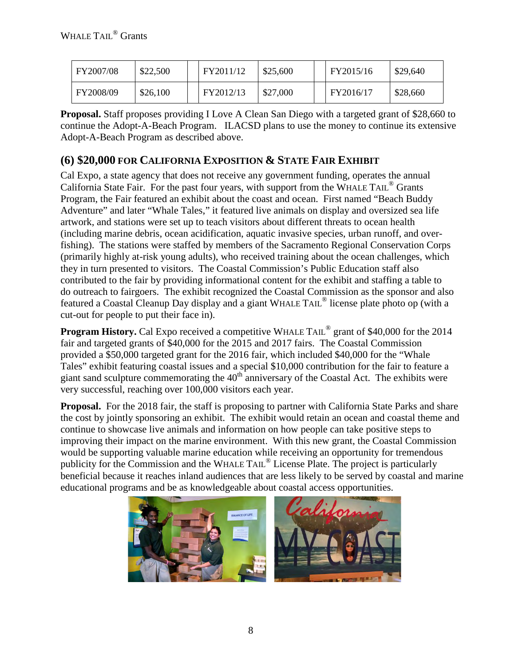| FY2007/08 | \$22,500 | FY2011/12 | \$25,600 | FY2015/16 | \$29,640 |
|-----------|----------|-----------|----------|-----------|----------|
| FY2008/09 | \$26,100 | FY2012/13 | \$27,000 | FY2016/17 | \$28,660 |

**Proposal.** Staff proposes providing I Love A Clean San Diego with a targeted grant of \$28,660 to continue the Adopt-A-Beach Program. ILACSD plans to use the money to continue its extensive Adopt-A-Beach Program as described above.

## **(6) \$20,000 FOR CALIFORNIA EXPOSITION & STATE FAIR EXHIBIT**

Cal Expo, a state agency that does not receive any government funding, operates the annual California State Fair. For the past four years, with support from the WHALE TAIL<sup>®</sup> Grants Program, the Fair featured an exhibit about the coast and ocean. First named "Beach Buddy Adventure" and later "Whale Tales," it featured live animals on display and oversized sea life artwork, and stations were set up to teach visitors about different threats to ocean health (including marine debris, ocean acidification, aquatic invasive species, urban runoff, and overfishing). The stations were staffed by members of the Sacramento Regional Conservation Corps (primarily highly at-risk young adults), who received training about the ocean challenges, which they in turn presented to visitors. The Coastal Commission's Public Education staff also contributed to the fair by providing informational content for the exhibit and staffing a table to do outreach to fairgoers. The exhibit recognized the Coastal Commission as the sponsor and also featured a Coastal Cleanup Day display and a giant WHALE TAIL® license plate photo op (with a cut-out for people to put their face in).

**Program History.** Cal Expo received a competitive WHALE TAIL<sup>®</sup> grant of \$40,000 for the 2014 fair and targeted grants of \$40,000 for the 2015 and 2017 fairs. The Coastal Commission provided a \$50,000 targeted grant for the 2016 fair, which included \$40,000 for the "Whale Tales" exhibit featuring coastal issues and a special \$10,000 contribution for the fair to feature a giant sand sculpture commemorating the  $40<sup>th</sup>$  anniversary of the Coastal Act. The exhibits were very successful, reaching over 100,000 visitors each year.

**Proposal.** For the 2018 fair, the staff is proposing to partner with California State Parks and share the cost by jointly sponsoring an exhibit. The exhibit would retain an ocean and coastal theme and continue to showcase live animals and information on how people can take positive steps to improving their impact on the marine environment. With this new grant, the Coastal Commission would be supporting valuable marine education while receiving an opportunity for tremendous publicity for the Commission and the WHALE TAIL® License Plate. The project is particularly beneficial because it reaches inland audiences that are less likely to be served by coastal and marine educational programs and be as knowledgeable about coastal access opportunities.

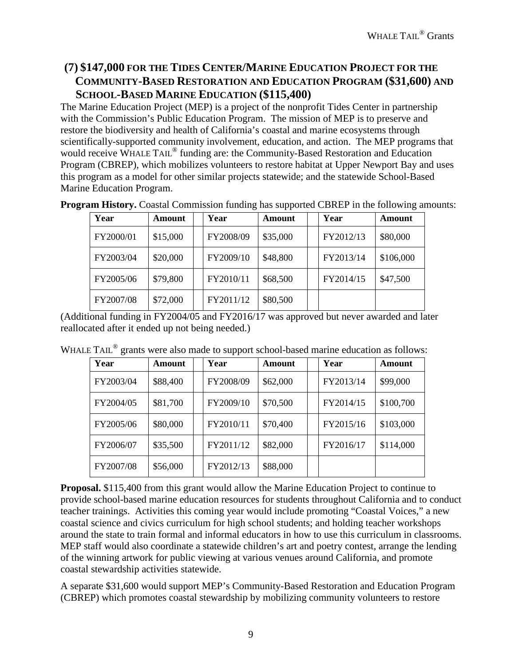## **(7) \$147,000 FOR THE TIDES CENTER/MARINE EDUCATION PROJECT FOR THE COMMUNITY-BASED RESTORATION AND EDUCATION PROGRAM (\$31,600) AND SCHOOL-BASED MARINE EDUCATION (\$115,400)**

The Marine Education Project (MEP) is a project of the nonprofit Tides Center in partnership with the Commission's Public Education Program. The mission of MEP is to preserve and restore the biodiversity and health of California's coastal and marine ecosystems through scientifically-supported community involvement, education, and action. The MEP programs that would receive WHALE TAIL<sup>®</sup> funding are: the Community-Based Restoration and Education Program (CBREP), which mobilizes volunteers to restore habitat at Upper Newport Bay and uses this program as a model for other similar projects statewide; and the statewide School-Based Marine Education Program.

| Year      | <b>Amount</b> | Year      | Amount   | Year      | Amount    |
|-----------|---------------|-----------|----------|-----------|-----------|
| FY2000/01 | \$15,000      | FY2008/09 | \$35,000 | FY2012/13 | \$80,000  |
| FY2003/04 | \$20,000      | FY2009/10 | \$48,800 | FY2013/14 | \$106,000 |
| FY2005/06 | \$79,800      | FY2010/11 | \$68,500 | FY2014/15 | \$47,500  |
| FY2007/08 | \$72,000      | FY2011/12 | \$80,500 |           |           |

**Program History.** Coastal Commission funding has supported CBREP in the following amounts:

(Additional funding in FY2004/05 and FY2016/17 was approved but never awarded and later reallocated after it ended up not being needed.)

| Year      | Amount   | .<br>Year | Amount   | Year      | <b>Amount</b> |
|-----------|----------|-----------|----------|-----------|---------------|
| FY2003/04 | \$88,400 | FY2008/09 | \$62,000 | FY2013/14 | \$99,000      |
| FY2004/05 | \$81,700 | FY2009/10 | \$70,500 | FY2014/15 | \$100,700     |
| FY2005/06 | \$80,000 | FY2010/11 | \$70,400 | FY2015/16 | \$103,000     |
| FY2006/07 | \$35,500 | FY2011/12 | \$82,000 | FY2016/17 | \$114,000     |
| FY2007/08 | \$56,000 | FY2012/13 | \$88,000 |           |               |

WHALE TAIL<sup>®</sup> grants were also made to support school-based marine education as follows:

**Proposal.** \$115,400 from this grant would allow the Marine Education Project to continue to provide school-based marine education resources for students throughout California and to conduct teacher trainings. Activities this coming year would include promoting "Coastal Voices," a new coastal science and civics curriculum for high school students; and holding teacher workshops around the state to train formal and informal educators in how to use this curriculum in classrooms. MEP staff would also coordinate a statewide children's art and poetry contest, arrange the lending of the winning artwork for public viewing at various venues around California, and promote coastal stewardship activities statewide.

A separate \$31,600 would support MEP's Community-Based Restoration and Education Program (CBREP) which promotes coastal stewardship by mobilizing community volunteers to restore